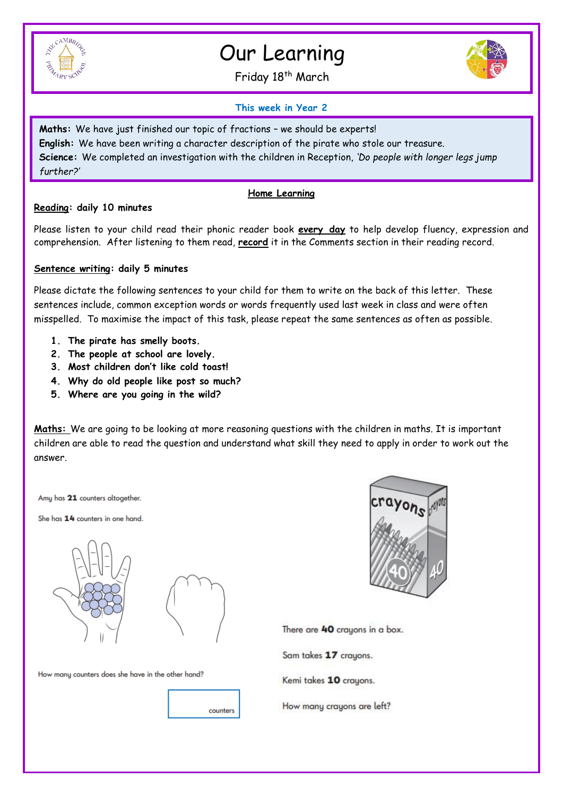

# Our Learning

Friday 18<sup>th</sup> March



## **This week in Year 2**

**Maths:** We have just finished our topic of fractions – we should be experts! **English:** We have been writing a character description of the pirate who stole our treasure. **Science:** We completed an investigation with the children in Reception, *'Do people with longer legs jump further?'* 

#### **Home Learning**

#### **Reading: daily 10 minutes**

Please listen to your child read their phonic reader book **every day** to help develop fluency, expression and comprehension. After listening to them read, **record** it in the Comments section in their reading record.

## **Sentence writing: daily 5 minutes**

Please dictate the following sentences to your child for them to write on the back of this letter. These sentences include, common exception words or words frequently used last week in class and were often misspelled. To maximise the impact of this task, please repeat the same sentences as often as possible.

- **1. The pirate has smelly boots.**
- **2. The people at school are lovely.**
- **3. Most children don't like cold toast!**
- **4. Why do old people like post so much?**
- **5. Where are you going in the wild?**

**Maths:** We are going to be looking at more reasoning questions with the children in maths. It is important children are able to read the question and understand what skill they need to apply in order to work out the answer.

Amy has 21 counters altogether.

She has 14 counters in one hand.





counters

How many counters does she have in the other hand?



There are 40 crayons in a box.

Sam takes 17 crayons.

Kemi takes 10 crayons.

How many crayons are left?